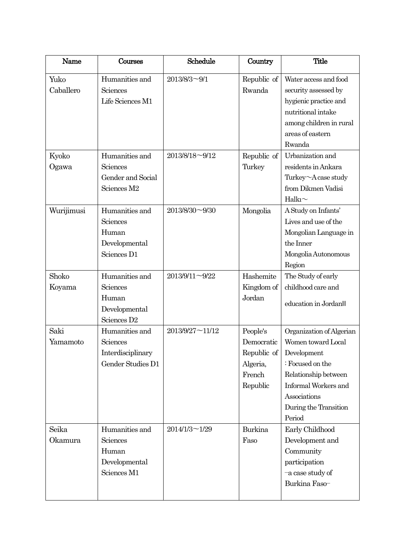| Name              | Courses                                                                         | Schedule        | Country                                                                 | <b>Title</b>                                                                                                                                                                         |
|-------------------|---------------------------------------------------------------------------------|-----------------|-------------------------------------------------------------------------|--------------------------------------------------------------------------------------------------------------------------------------------------------------------------------------|
| Yuko<br>Caballero | Humanities and<br>Sciences<br>Life Sciences M1                                  | 2013/8/3~9/1    | Republic of<br>Rwanda                                                   | Water access and food<br>security assessed by<br>hygienic practice and<br>nutritional intake<br>among children in rural<br>areas of eastern<br>Rwanda                                |
| Kyoko<br>Ogawa    | Humanities and<br>Sciences<br>Gender and Social<br>Sciences M2                  | 2013/8/18~9/12  | Republic of<br>Turkey                                                   | Urbanization and<br>residents in Ankara<br>Turkey~A case study<br>from Dikmen Vadisi<br>Halkı $\sim$                                                                                 |
| Wurijimusi        | Humanities and<br>Sciences<br>Human<br>Developmental<br>Sciences D1             | 2013/8/30~9/30  | Mongolia                                                                | A Study on Infants'<br>Lives and use of the<br>Mongolian Language in<br>the Inner<br>Mongolia Autonomous<br>Region                                                                   |
| Shoko<br>Koyama   | Humanities and<br>Sciences<br>Human<br>Developmental<br>Sciences D <sub>2</sub> | 2013/9/11~9/22  | Hashemite<br>Kingdom of<br>Jordan                                       | The Study of early<br>childhood care and<br>education in Jordan II                                                                                                                   |
| Saki<br>Yamamoto  | Humanities and<br>Sciences<br>Interdisciplinary<br>Gender Studies D1            | 2013/9/27~11/12 | People's<br>Democratic<br>Republic of<br>Algeria,<br>French<br>Republic | Organization of Algerian<br>Women toward Local<br>Development<br>: Focused on the<br>Relationship between<br>Informal Workers and<br>Associations<br>During the Transition<br>Period |
| Seika<br>Okamura  | Humanities and<br>Sciences<br>Human<br>Developmental<br>Sciences M1             | 2014/1/3~1/29   | Burkina<br>Faso                                                         | Early Childhood<br>Development and<br>Community<br>participation<br>-a case study of<br>Burkina Faso-                                                                                |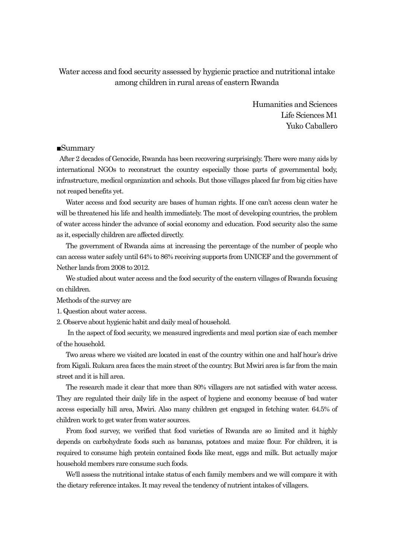Water access and food security assessed by hygienic practice and nutritional intake among children in rural areas of eastern Rwanda

> Humanities and Sciences Life Sciences M1 Yuko Caballero

#### ■Summary

After 2 decades of Genocide, Rwanda has been recovering surprisingly. There were many aids by international NGOs to reconstruct the country especially those parts of governmental body, infrastructure, medical organization and schools. But those villages placed far from big cities have not reaped benefits yet.

 Water access and food security are bases of human rights. If one can't access clean water he will be threatened his life and health immediately. The most of developing countries, the problem of water access hinder the advance of social economy and education. Food security also the same as it, especially children are affected directly.

 The government of Rwanda aims at increasing the percentage of the number of people who can access water safely until 64% to 86% receiving supports from UNICEF and the government of Nether lands from 2008 to 2012.

 We studied about water access and the food security of the eastern villages of Rwanda focusing on children.

Methods of the survey are

1. Question about water access.

2. Observe about hygienic habit and daily meal of household.

 In the aspect of food security, we measured ingredients and meal portion size of each member of the household.

 Two areas where we visited are located in east of the country within one and half hour's drive from Kigali. Rukara area faces the main street of the country. But Mwiri area is far from the main street and it is hill area.

 The research made it clear that more than 80% villagers are not satisfied with water access. They are regulated their daily life in the aspect of hygiene and economy because of bad water access especially hill area, Mwiri. Also many children get engaged in fetching water. 64.5% of children work to get water from water sources.

 From food survey, we verified that food varieties of Rwanda are so limited and it highly depends on carbohydrate foods such as bananas, potatoes and maize flour. For children, it is required to consume high protein contained foods like meat, eggs and milk. But actually major household members rare consume such foods.

 We'll assess the nutritional intake status of each family members and we will compare it with the dietary reference intakes. It may reveal the tendency of nutrient intakes of villagers.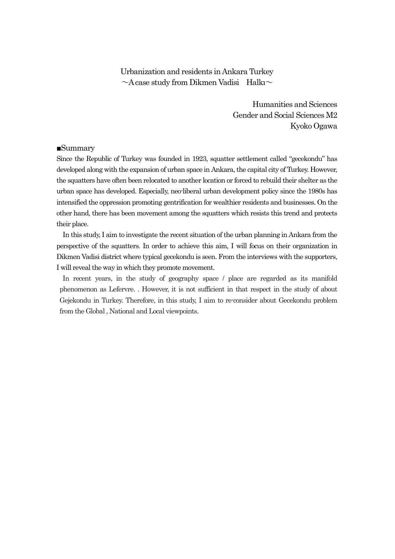Urbanization and residents in Ankara Turkey  $\sim$ A case study from Dikmen Vadisi Halkı $\sim$ 

> Humanities and Sciences Gender and Social Sciences M2 Kyoko Ogawa

#### ■Summary

Since the Republic of Turkey was founded in 1923, squatter settlement called "gecekondu" has developed along with the expansion of urban space in Ankara, the capital city of Turkey. However, the squatters have often been relocated to another location or forced to rebuild their shelter as the urban space has developed. Especially, neo-liberal urban development policy since the 1980s has intensified the oppression promoting gentrification for wealthier residents and businesses. On the other hand, there has been movement among the squatters which resists this trend and protects their place.

In this study, I aim to investigate the recent situation of the urban planning in Ankara from the perspective of the squatters. In order to achieve this aim, I will focus on their organization in Dikmen Vadisi district where typical gecekondu is seen. From the interviews with the supporters, I will reveal the way in which they promote movement.

In recent years, in the study of geography space / place are regarded as its manifold phenomenon as Lefervre. . However, it is not sufficient in that respect in the study of about Gejekondu in Turkey. Therefore, in this study, I aim to re-consider about Gecekondu problem from the Global , National and Local viewpoints.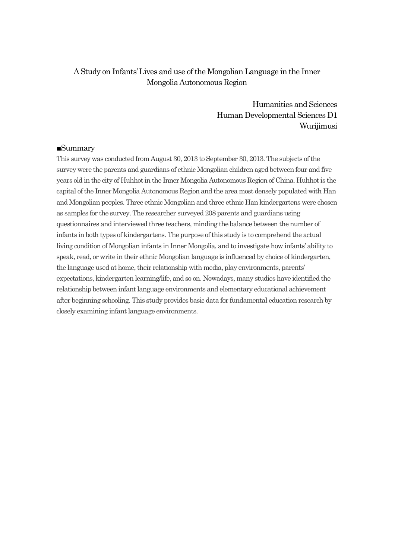## A Study on Infants' Lives and use of the Mongolian Language in the Inner Mongolia Autonomous Region

Humanities and Sciences Human Developmental Sciences D1 Wurijimusi

#### ■Summary

This survey was conducted from August 30, 2013 to September 30, 2013. The subjects of the survey were the parents and guardians of ethnic Mongolian children aged between four and five years old in the city of Huhhot in the Inner Mongolia Autonomous Region of China. Huhhot is the capital of the Inner Mongolia Autonomous Region and the area most densely populated with Han and Mongolian peoples. Three ethnic Mongolian and three ethnic Han kindergartens were chosen as samples for the survey. The researcher surveyed 208 parents and guardians using questionnaires and interviewed three teachers, minding the balance between the number of infants in both types of kindergartens. The purpose of this study is to comprehend the actual living condition of Mongolian infants in Inner Mongolia, and to investigate how infants' ability to speak, read, or write in their ethnic Mongolian language is influenced by choice of kindergarten, the language used at home, their relationship with media, play environments, parents' expectations, kindergarten learning/life, and so on. Nowadays, many studies have identified the relationship between infant language environments and elementary educational achievement after beginning schooling. This study provides basic data for fundamental education research by closely examining infant language environments.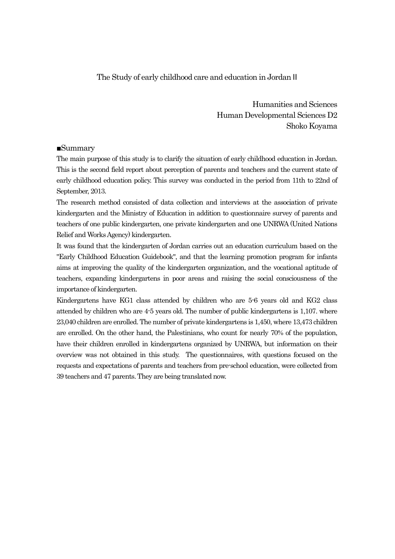### The Study of early childhood care and education in Jordan II

Humanities and Sciences Human Developmental Sciences D2 Shoko Koyama

#### ■Summary

The main purpose of this study is to clarify the situation of early childhood education in Jordan. This is the second field report about perception of parents and teachers and the current state of early childhood education policy. This survey was conducted in the period from 11th to 22nd of September, 2013.

The research method consisted of data collection and interviews at the association of private kindergarten and the Ministry of Education in addition to questionnaire survey of parents and teachers of one public kindergarten, one private kindergarten and one UNRWA (United Nations Relief and Works Agency) kindergarten.

It was found that the kindergarten of Jordan carries out an education curriculum based on the "Early Childhood Education Guidebook", and that the learning promotion program for infants aims at improving the quality of the kindergarten organization, and the vocational aptitude of teachers, expanding kindergartens in poor areas and raising the social consciousness of the importance of kindergarten.

Kindergartens have KG1 class attended by children who are 5-6 years old and KG2 class attended by children who are 4-5 years old. The number of public kindergartens is 1,107. where 23,040 children are enrolled. The number of private kindergartens is 1,450, where 13,473 children are enrolled. On the other hand, the Palestinians, who count for nearly 70% of the population, have their children enrolled in kindergartens organized by UNRWA, but information on their overview was not obtained in this study. The questionnaires, with questions focused on the requests and expectations of parents and teachers from pre-school education, were collected from 39 teachers and 47 parents. They are being translated now.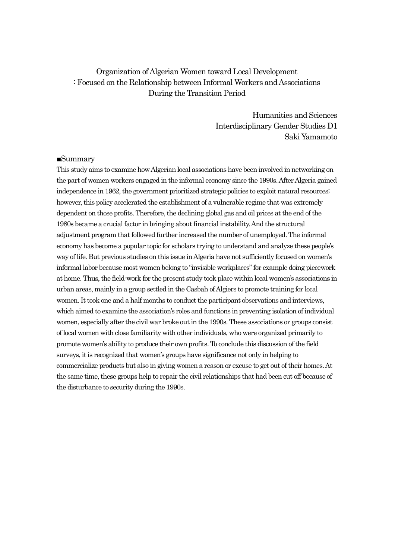# Organization of Algerian Women toward Local Development : Focused on the Relationship between Informal Workers and Associations During the Transition Period

Humanities and Sciences Interdisciplinary Gender Studies D1 Saki Yamamoto

#### ■Summary

This study aims to examine how Algerian local associations have been involved in networking on the part of women workers engaged in the informal economy since the 1990s. After Algeria gained independence in 1962, the government prioritized strategic policies to exploit natural resources; however, this policy accelerated the establishment of a vulnerable regime that was extremely dependent on those profits. Therefore, the declining global gas and oil prices at the end of the 1980s became a crucial factor in bringing about financial instability. And the structural adjustment program that followed further increased the number of unemployed. The informal economy has become a popular topic for scholars trying to understand and analyze these people's way of life. But previous studies on this issue in Algeria have not sufficiently focused on women's informal labor because most women belong to "invisible workplaces" for example doing piecework at home. Thus, the field-work for the present study took place within local women's associations in urban areas, mainly in a group settled in the Casbah of Algiers to promote training for local women. It took one and a half months to conduct the participant observations and interviews, which aimed to examine the association's roles and functions in preventing isolation of individual women, especially after the civil war broke out in the 1990s. These associations or groups consist of local women with close familiarity with other individuals, who were organized primarily to promote women's ability to produce their own profits. To conclude this discussion of the field surveys, it is recognized that women's groups have significance not only in helping to commercialize products but also in giving women a reason or excuse to get out of their homes. At the same time, these groups help to repair the civil relationships that had been cut off because of the disturbance to security during the 1990s.